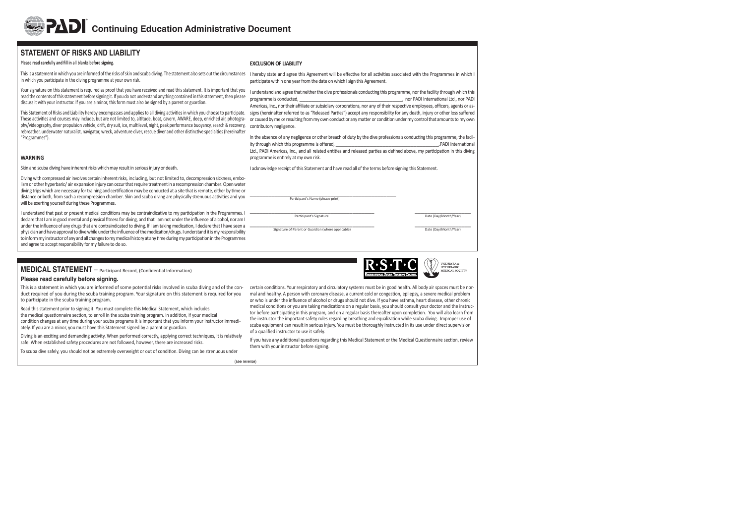## **STATEMENT OF RISKS AND LIABILITY**

#### Please read carefully and fill in all blanks before signing.

This is a statement in which you are informed of the risks of skin and scuba diving. The statement also sets out the circumstances in which you participate in the diving programme at your own risk.

Your signature on this statement is required as proof that you have received and read this statement. It is important that you read the contents of this statement before signing it. If you do not understand anything contained in this statement, then please discuss it with your instructor. If you are a minor, this form must also be signed by a parent or guardian.

This Statement of Risks and Liability hereby encompasses and applies to all diving activities in which you choose to participate. These activities and courses may include, but are not limited to, altitude, boat, cavern, AWARE, deep, enriched air, photography/videography, diver propulsion vehicle, drift, dry suit, ice, multilevel, night, peak performance buoyancy, search & recovery, rebreather, underwater naturalist, navigator, wreck, adventure diver, rescue diver and other distinctive specialties (hereinafter "Programmes").

### **WARNING**

Skin and scuba diving have inherent risks which may result in serious injury or death.

Diving with compressed air involves certain inherent risks, including, but not limited to, decompression sickness, embolism or other hyperbaric/ air expansion injury can occur that require treatment in a recompression chamber. Open water diving trips which are necessary for training and certification may be conducted at a site that is remote, either by time or distance or both, from such a recompression chamber. Skin and scuba diving are physically strenuous activities and you will be exerting yourself during these Programmes.

I understand that past or present medical conditions may be contraindicative to my participation in the Programmes. I declare that I am in good mental and physical fitness for diving, and that I am not under the influence of alcohol, nor am I under the influence of any drugs that are contraindicated to diving. If I am taking medication, I declare that I have seen a physician and have approval to dive while under the influence of the medication/drugs. I understand it is my responsibility to inform my instructor of any and all changes to my medical history at any time during my participation in the Programmes and agree to accept responsibility for my failure to do so.

# **MEDICAL STATEMENT** – Participant Record, (Confidential Information)

### **Please read carefully before signing.**

This is a statement in which you are informed of some potential risks involved in scuba diving and of the conduct required of you during the scuba training program. Your signature on this statement is required for you to participate in the scuba training program.

Read this statement prior to signing it. You must complete this Medical Statement, which includes the medical questionnaire section, to enroll in the scuba training program. In addition, if your medical condition changes at any time during your scuba programs it is important that you inform your instructor immediately. If you are a minor, you must have this Statement signed by a parent or guardian.

Diving is an exciting and demanding activity. When performed correctly, applying correct techniques, it is relatively safe. When established safety procedures are not followed, however, there are increased risks.

To scuba dive safely, you should not be extremely overweight or out of condition. Diving can be strenuous under

### **EXCLUSION OF LIABILITY**

I hereby state and agree this Agreement will be effective for all activities associated with the Programmes in which I participate within one year from the date on which I sign this Agreement.

I understand and agree that neither the dive professionals conducting this programme, nor the facility through which this programme is conducted,  $\blacksquare$  . The conducted of the conductional Ltd., nor PADI International Ltd., nor PADI Americas, Inc., nor their affiliate or subsidiary corporations, nor any of their respective employees, officers, agents or assigns (hereinafter referred to as "Released Parties") accept any responsibility for any death, injury or other loss suffered or caused by me or resulting from my own conduct or any matter or condition under my control that amounts to my own contributory negligence.

In the absence of any negligence or other breach of duty by the dive professionals conducting this programme, the facility through which this programme is offered, . PADI International Ltd., PADI Americas, Inc., and all related entities and released parties as defined above, my participation in this diving programme is entirely at my own risk.

I acknowledge receipt of this Statement and have read all of the terms before signing this Statement.

\_\_\_\_\_\_\_\_\_\_\_\_\_\_\_\_\_\_\_\_\_\_\_\_\_\_\_\_\_\_\_\_\_\_\_\_\_\_\_\_\_\_\_\_\_\_\_ Parti cipant's Name (please print)

\_\_\_\_\_\_\_\_\_\_\_\_\_\_\_\_\_\_\_\_\_\_\_\_\_\_\_\_\_\_\_\_\_\_\_\_\_\_\_\_ \_\_\_\_\_\_\_\_\_\_\_\_\_\_\_\_\_\_ Participant's Signature **Date (Day/Month/Year)** Date (Day/Month/Year)

Signature of Parent or Guardian (where applicable) Date (Day/Month/Year) Date (Day/Month/Year)



**UNDERSEA & HYPERBARIC** MEDICAL SOCIETY

certain conditions. Your respiratory and circulatory systems must be in good health. All body air spaces must be normal and healthy. A person with coronary disease, a current cold or congestion, epilepsy, a severe medical problem or who is under the influence of alcohol or drugs should not dive. If you have asthma, heart disease, other chronic medical conditions or you are taking medications on a regular basis, you should consult your doctor and the instructor before participating in this program, and on a regular basis thereafter upon completion. You will also learn from the instructor the important safety rules regarding breathing and equalization while scuba diving. Improper use of scuba equipment can result in serious injury. You must be thoroughly instructed in its use under direct supervision of a qualified instructor to use it safely.

If you have any additional questions regarding this Medical Statement or the Medical Questionnaire section, review them with your instructor before signing.